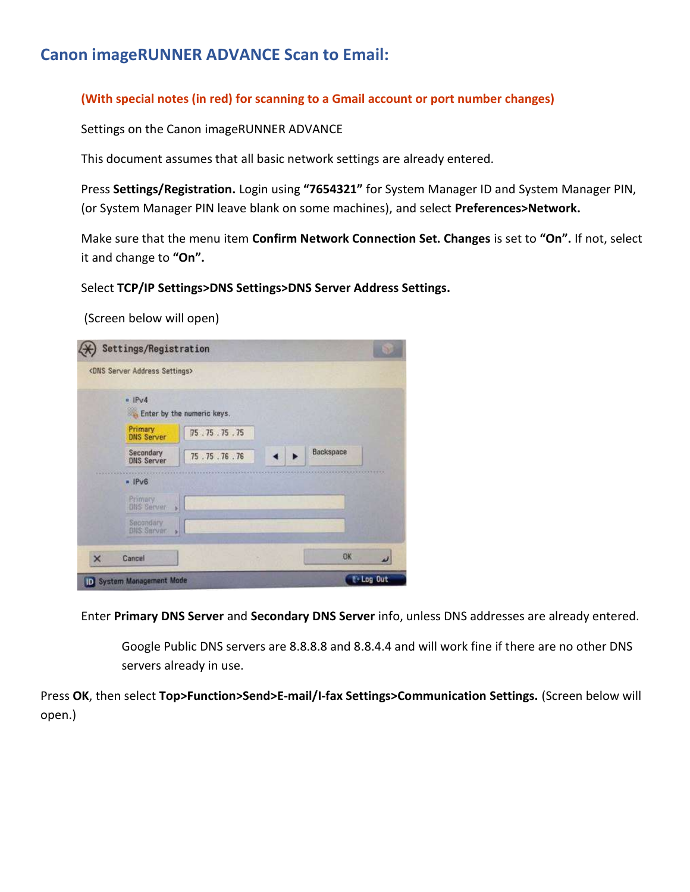## Canon imageRUNNER ADVANCE Scan to Email:

## (With special notes (in red) for scanning to a Gmail account or port number changes)

Settings on the Canon imageRUNNER ADVANCE

This document assumes that all basic network settings are already entered.

Press Settings/Registration. Login using "7654321" for System Manager ID and System Manager PIN, (or System Manager PIN leave blank on some machines), and select Preferences>Network.

Make sure that the menu item Confirm Network Connection Set. Changes is set to "On". If not, select it and change to "On".

Select TCP/IP Settings>DNS Settings>DNS Server Address Settings.

(Screen below will open)

|          | <dns address="" server="" settings=""></dns> |                            |           |  |
|----------|----------------------------------------------|----------------------------|-----------|--|
|          | $n$ IPv4                                     | Enter by the numeric keys. |           |  |
|          | Primary<br><b>DNS Server</b>                 | 75.75.75.75                |           |  |
|          | Secondary<br><b>DNS Server</b>               | 75.75.76.76                | Backspace |  |
|          | $=$ IPv6                                     |                            |           |  |
|          | Primacy<br><b>ONS Server</b>                 |                            |           |  |
|          | Secondary<br><b>DNS Server</b><br>Ы          |                            |           |  |
| $\times$ | Cancel                                       |                            | OK        |  |

Enter Primary DNS Server and Secondary DNS Server info, unless DNS addresses are already entered.

Google Public DNS servers are 8.8.8.8 and 8.8.4.4 and will work fine if there are no other DNS servers already in use.

Press OK, then select Top>Function>Send>E-mail/I-fax Settings>Communication Settings. (Screen below will open.)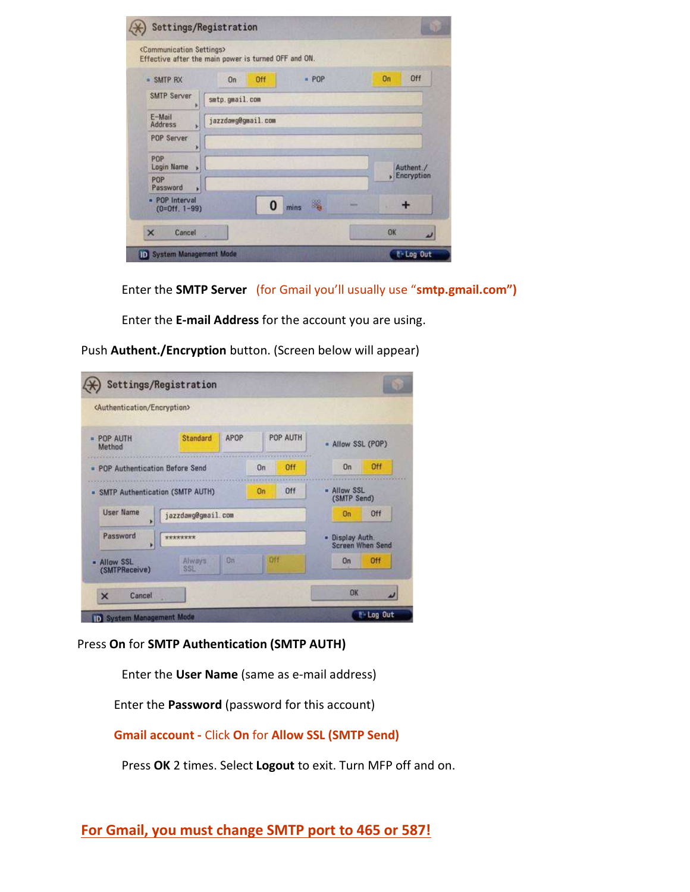| <communication settings=""></communication> | Effective after the main power is turned OFF and ON. |      |            |
|---------------------------------------------|------------------------------------------------------|------|------------|
| · SMTP RX                                   | Off<br>On                                            | POP  | Off<br>On  |
| <b>SMTP Server</b>                          | smtp.gmail.com                                       |      |            |
| E-Mail<br><b>Address</b><br>×               | jazzdawg@gmail.com                                   |      |            |
| POP Server<br>×                             |                                                      |      |            |
| POP<br>Login Name<br>×                      |                                                      |      | Authent./  |
| POP<br>Password<br>٠                        |                                                      |      | Encryption |
| - POP Interval<br>$(0=0$ ff. 1-99)          | 0                                                    | mins |            |
| $\times$<br>Cancel                          |                                                      |      | OK         |

Enter the **SMTP Server** (for Gmail you'll usually use "smtp.gmail.com")

Enter the E-mail Address for the account you are using.

| <authentication encryption=""></authentication> |                                   |     |                                            |                                 |            |  |
|-------------------------------------------------|-----------------------------------|-----|--------------------------------------------|---------------------------------|------------|--|
| <b>POP AUTH</b><br>Method                       | APOP<br>Standard                  |     | <b>POP AUTH</b>                            | - Allow SSL (POP)               |            |  |
| <b>POP Authentication Before Send</b>           |                                   | On  | Off                                        | 0n                              | Off        |  |
| On<br>- SMTP Authentication (SMTP AUTH)         |                                   |     | Off                                        | <b>Allow SSL</b><br>(SMTP Send) |            |  |
| <b>User Name</b><br>٠                           | jazzdawg@gmail.com                |     |                                            | Off<br>On                       |            |  |
| Password<br>۲                                   |                                   |     | · Display Auth.<br><b>Screen When Send</b> |                                 |            |  |
| - Allow SSL<br>(SMTPReceive)                    | <b>On</b><br><b>Always</b><br>SSL | Off |                                            | On                              | <b>Off</b> |  |
| Cancel<br>$\times$                              |                                   |     |                                            | OK                              |            |  |

Push Authent./Encryption button. (Screen below will appear)

Press On for SMTP Authentication (SMTP AUTH)

Enter the User Name (same as e-mail address)

Enter the Password (password for this account)

Gmail account - Click On for Allow SSL (SMTP Send)

Press OK 2 times. Select Logout to exit. Turn MFP off and on.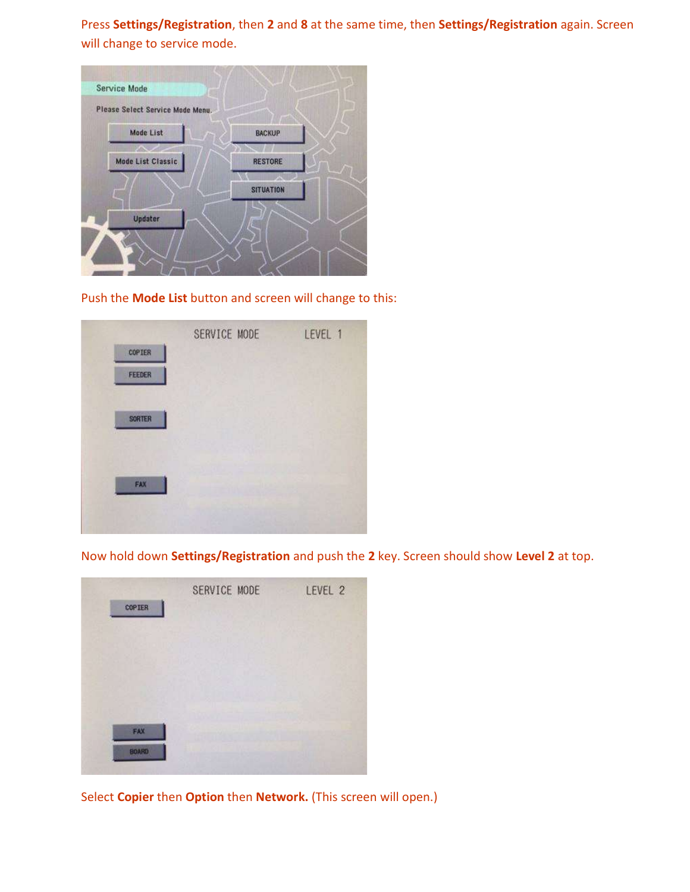Press Settings/Registration, then 2 and 8 at the same time, then Settings/Registration again. Screen will change to service mode.



Push the Mode List button and screen will change to this:



Now hold down Settings/Registration and push the 2 key. Screen should show Level 2 at top.

| <b>COPTER</b> | SERVICE MODE | LEVEL 2 |
|---------------|--------------|---------|
|               |              |         |
|               |              |         |
| FAX           |              |         |
| BOARD         |              |         |

Select Copier then Option then Network. (This screen will open.)